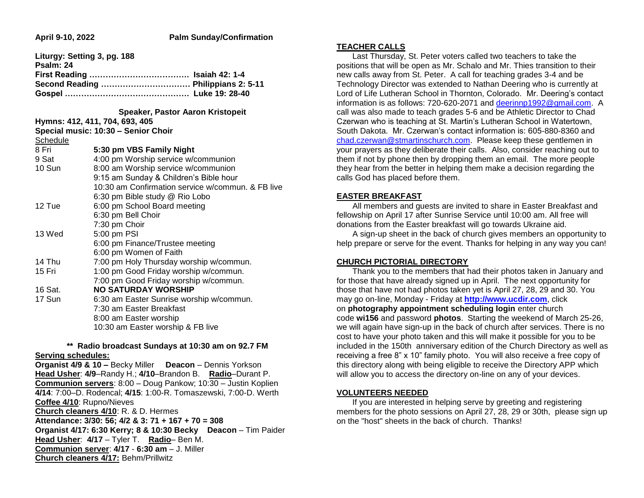# **April 9-10, 2022 Palm Sunday/Confirmation**

|                 | Liturgy: Setting 3, pg. 188                       |
|-----------------|---------------------------------------------------|
| Psalm: 24       |                                                   |
|                 | Second Reading  Philippians 2: 5-11               |
|                 |                                                   |
|                 | <b>Speaker, Pastor Aaron Kristopeit</b>           |
|                 | Hymns: 412, 411, 704, 693, 405                    |
|                 | Special music: 10:30 - Senior Choir               |
| <b>Schedule</b> |                                                   |
| 8 Fri           | 5:30 pm VBS Family Night                          |
| 9 Sat           | 4:00 pm Worship service w/communion               |
| 10 Sun          | 8:00 am Worship service w/communion               |
|                 | 9:15 am Sunday & Children's Bible hour            |
|                 | 10:30 am Confirmation service w/commun. & FB live |
|                 | 6:30 pm Bible study @ Rio Lobo                    |
| 12 Tue          | 6:00 pm School Board meeting                      |
|                 | 6:30 pm Bell Choir                                |
|                 | 7:30 pm Choir                                     |
| 13 Wed          | 5:00 pm PSI                                       |
|                 | 6:00 pm Finance/Trustee meeting                   |
|                 | 6:00 pm Women of Faith                            |
| 14 Thu          | 7:00 pm Holy Thursday worship w/commun.           |
| 15 Fri          | 1:00 pm Good Friday worship w/commun.             |
|                 | 7:00 pm Good Friday worship w/commun.             |
| 16 Sat.         | <b>NO SATURDAY WORSHIP</b>                        |
| 17 Sun          | 6:30 am Easter Sunrise worship w/commun.          |
|                 | 7:30 am Easter Breakfast                          |
|                 | 8:00 am Easter worship                            |
|                 | 10:30 am Easter worship & FB live                 |
|                 |                                                   |

### **\*\* Radio broadcast Sundays at 10:30 am on 92.7 FM Serving schedules:**

**Organist 4/9 & 10 –** Becky Miller **Deacon** – Dennis Yorkson **Head Usher**: **4/9**–Randy H.; **4/10**–Brandon B. **Radio**–Durant P. **Communion servers**: 8:00 – Doug Pankow; 10:30 – Justin Koplien **4/14**: 7:00–D. Rodencal; **4/15**: 1:00-R. Tomaszewski, 7:00-D. Werth **Coffee 4/10**: Rupno/Nieves **Church cleaners 4/10**: R. & D. Hermes **Attendance: 3/30: 56; 4/2 & 3: 71 + 167 + 70 = 308 Organist 4/17: 6:30 Kerry; 8 & 10:30 Becky Deacon** – Tim Paider **Head Usher**: **4/17** – Tyler T. **Radio**– Ben M. **Communion server**: **4/17** - **6:30 am** – J. Miller **Church cleaners 4/17:** Behm/Prillwitz

#### **TEACHER CALLS**

 Last Thursday, St. Peter voters called two teachers to take the positions that will be open as Mr. Schalo and Mr. Thies transition to their new calls away from St. Peter. A call for teaching grades 3-4 and be Technology Director was extended to Nathan Deering who is currently at Lord of Life Lutheran School in Thornton, Colorado. Mr. Deering's contact information is as follows: 720-620-2071 and [deerinnp1992@gmail.com.](mailto:deerinnp1992@gmail.com) A call was also made to teach grades 5-6 and be Athletic Director to Chad Czerwan who is teaching at St. Martin's Lutheran School in Watertown, South Dakota. Mr. Czerwan's contact information is: 605-880-8360 and [chad.czerwan@stmartinschurch.com.](mailto:chad.czerwan@stmartinschurch.com) Please keep these gentlemen in your prayers as they deliberate their calls. Also, consider reaching out to them if not by phone then by dropping them an email. The more people they hear from the better in helping them make a decision regarding the calls God has placed before them.

### **EASTER BREAKFAST**

 All members and guests are invited to share in Easter Breakfast and fellowship on April 17 after Sunrise Service until 10:00 am. All free will donations from the Easter breakfast will go towards Ukraine aid.

 A sign-up sheet in the back of church gives members an opportunity to help prepare or serve for the event. Thanks for helping in any way you can!

### **CHURCH PICTORIAL DIRECTORY**

 Thank you to the members that had their photos taken in January and for those that have already signed up in April. The next opportunity for those that have not had photos taken yet is April 27, 28, 29 and 30. You may go on-line, Monday - Friday at **[http://www.ucdir.com](https://linkprotect.cudasvc.com/url?a=http%3a%2f%2fwww.ucdir.com&c=E,1,_5ddtxHGD3Z1cUfJORDFagPMaIeEtx8iYl2IlGFmCbj6LmCTfDnRAG6IbNtgiChQlnu3g-k94_gyS5yw-dDSPD3k0ZkWPKYfSKdVplYT2gQ,&typo=1&ancr_add=1)**, click on **photography appointment scheduling login** enter church code **wi156** and password **photos**. Starting the weekend of March 25-26, we will again have sign-up in the back of church after services. There is no cost to have your photo taken and this will make it possible for you to be included in the 150th anniversary edition of the Church Directory as well as receiving a free 8" x 10" family photo. You will also receive a free copy of this directory along with being eligible to receive the Directory APP which will allow you to access the directory on-line on any of your devices.

### **VOLUNTEERS NEEDED**

 If you are interested in helping serve by greeting and registering members for the photo sessions on April 27, 28, 29 or 30th, please sign up on the "host" sheets in the back of church. Thanks!